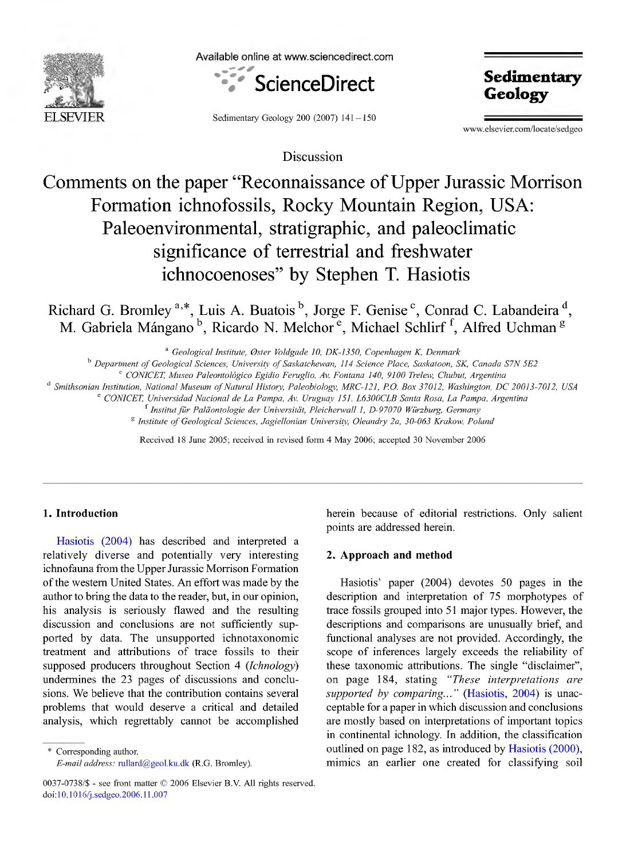

Available online atwww.sciencedirect.com



Sedimentary Geology 200 (2007) 141-150

**Sedimentary Geology**

www.elsevier.com/locate/sedgeo

Discussion

# Comments on the paper "Reconnaissance of Upper Jurassic Morrison Formation ichnofossils, Rocky Mountain Region, USA: Paleoenvironmental, stratigraphic, and paleoclimatic significance of terrestrial and freshwater ichnocoenoses" by Stephen T. Hasiotis

Richard G. Bromley<sup>a,\*</sup>, Luis A. Buatois<sup>'</sup>, Jorge F. Genise<sup>c</sup>, Conrad C. Labandeira<sup>'d</sup>, M. Gabriela Mángano<sup>'o</sup>, Ricardo N. Melchor<sup>®</sup>, Michael Schlirf<sup>1</sup>, Alfred Uchman<sup>8</sup>

" *Geological Institute, 0ster Voldgade 10, DK-135Ú, Copenhagen K, Denmark*

*Department of Geological Sciences, University ofSaskatchewan, 114 Science Place, Saskatoon, SK, Canada S7N 5E2*

*° CONICET, Museo Paleontológico Egidio Feruglio, Av. Fontana 140, 9100 Trelew, Chubut, Argentina*

<sup>d</sup> Smithsonian Institution, National Museum of Natural History, Paleobiology, MRC-121, P.O. Box 37012, Washington, DC 20013-7012, USA

*" CONICET, Universidad Nacional de La Pampa, Av. Uruguay 151, L6300CLB Santa Rosa, La Pampa, Argentina*

*Institutfur Paläontologie der Universität, Pleicherwall 1, D-97070 Würzburg, Germany*

*^ Institute of Geological Sciences, Jagiellonian University, Oleandry 2a, 30-063 Krakow, Poland*

Received 18 June 2005; received in revised form 4 May 2006; accepted 30 November 2006

## **1. Introduction**

Hasiotis (2004) has described and interpreted a relatively diverse and potentially very interesting ichnofauna from the Upper Jurassic Morrison Formation of the western United States. An effort was made by the author to bring the data to the reader, but, in our opinion, his analysis is seriously flawed and the resulting discussion and conclusions are not sufficiently supported by data. The unsupported ichnotaxonomic treatment and attributions of trace fossils to their supposed producers throughout Section 4 *(Ichnology)* undermines the 23 pages of discussions and conclusions. We believe that the contribution contains several problems that would deserve a critical and detailed analysis, which regrettably cannot be accomplished

Corresponding author. *E-mail address:* rullard@geol.ku.dk (R.G. Bromley). herein because of editorial restrictions. Only salient points are addressed herein.

### **2. Approach and method**

Hasiotis' paper (2004) devotes 50 pages in the description and interpretation of 75 morphotypes of trace fossils grouped into 51 major types. However, the descriptions and comparisons are unusually brief, and functional analyses are not provided. Accordingly, the scope of inferences largely exceeds the reliability of these taxonomic attributions. The single "disclaimer", on page 184, stating *"These interpretations are supported by comparing..."* (Hasiotis, 2004) is unacceptable for a paper in which discussion and conclusions are mostly based on interpretations of important topics in continental ichnology. In addition, the classification outlined on page 182, as introduced by Hasiotis (2000), mimics an earlier one created for classifying soil

<sup>0037-0738/\$</sup> - see front matter © 2006 Elsevier B.V. All rights reserved, doi: 10.1016/j .sedgeo.2006.11.007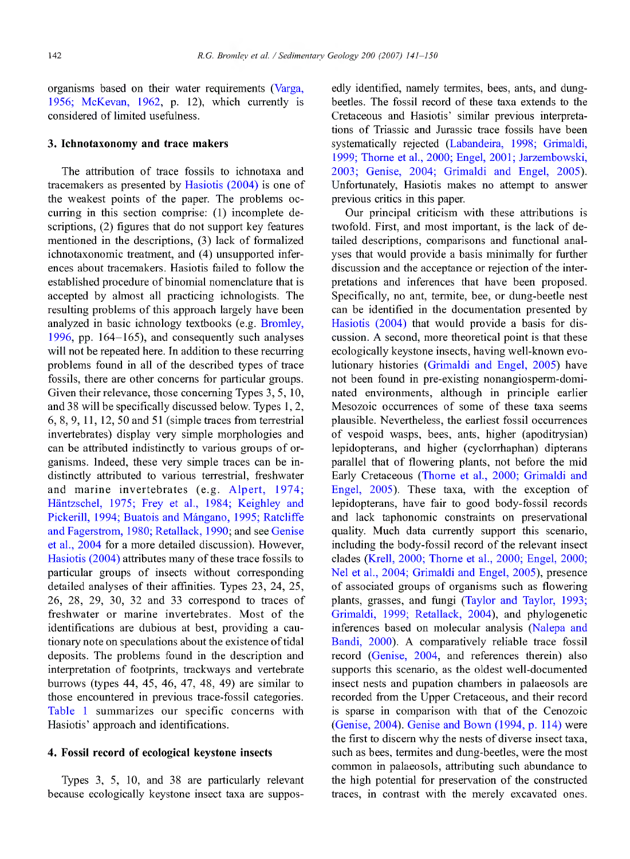organisms based on their water requirements (Varga, 1956; McKevan, 1962, p. 12), which currently is considered of limited usefulness.

### **3. Ichnotaxonomy and trace makers**

The attribution of trace fossils to ichnotaxa and tracemakers as presented by Hasiotis (2004) is one of the weakest points of the paper. The problems occurring in this section comprise: (1) incomplete descriptions, (2) figures that do not support key features mentioned in the descriptions, (3) lack of formalized ichnotaxonomic treatment, and (4) unsupported inferences about tracemakers. Hasiotis failed to follow the established procedure of binomial nomenclature that is accepted by almost all practicing ichnologists. The resulting problems of this approach largely have been analyzed in basic ichnology textbooks (e.g. Bromley, 1996, pp. 164-165), and consequently such analyses will not be repeated here. In addition to these recurring problems found in all of the described types of trace fossils, there are other concerns for particular groups. Given their relevance, those concerning Types 3, 5, 10, and 38 will be specifically discussed below. Types 1,2, 6, 8, 9, 11, 12, 50 and 51 (simple traces from terrestrial invertebrates) display very simple morphologies and can be attributed indistinctly to various groups of organisms. Indeed, these very simple traces can be indistinctly attributed to various terrestrial, freshwater and marine invertebrates (e.g. Alpert, 1974; Häntzschel, 1975; Frey et al., 1984; Keighley and Pickerill, 1994; Buatois and Mángano, 1995; Ratcliffe and Fagerstrom, 1980; Retallack, 1990; and see Genise et al., 2004 for a more detailed discussion). However, Hasiotis  $(2004)$  attributes many of these trace fossils to particular groups of insects without corresponding detailed analyses of their affinities. Types 23, 24, 25, 26, 28, 29, 30, 32 and 33 correspond to traces of freshwater or marine invertebrates. Most of the identifications are dubious at best, providing a cautionary note on speculations about the existence of tidal deposits. The problems found in the description and interpretation of footprints, trackways and vertebrate burrows (types 44, 45, 46, 47, 48, 49) are similar to those encountered in previous trace-fossil categories. Table <sup>1</sup> summarizes our specific concerns with Hasiotis' approach and identifications.

## **4. Fossil record of ecological keystone insects**

Types 3, 5, 10, and 38 are particularly relevant because ecologically keystone insect taxa are suppos-

edly identified, namely termites, bees, ants, and dungbeetles. The fossil record of these taxa extends to the Cretaceous and Hasiotis' similar previous interpretations of Triassic and Jurassic trace fossils have been systematically rejected (Labandeira, 1998; Grimaldi, 1999; Thome et al, 2000; Engel, 2001; Jarzembowski, 2003; Genise, 2004; Grimaldi and Engel, 2005). Unfortunately, Hasiotis makes no attempt to answer previous critics in this paper.

Our principal criticism with these attributions is twofold. First, and most important, is the lack of detailed descriptions, comparisons and functional analyses that would provide a basis minimally for further discussion and the acceptance or rejection of the interpretations and inferences that have been proposed. Specifically, no ant, termite, bee, or dung-beetle nest can be identified in the documentation presented by Hasiotis (2004) that would provide a basis for discussion. A second, more theoretical point is that these ecologically keystone insects, having well-known evolutionary histories (Grimaldi and Engel, 2005) have not been found in pre-existing nonangiosperm-dominated environments, although in principle earlier Mesozoic occurrences of some of these taxa seems plausible. Nevertheless, the earliest fossil occurrences of vespoid wasps, bees, ants, higher (apoditrysian) lepidopterans, and higher (cyclorrhaphan) dipterans parallel that of flowering plants, not before the mid Early Cretaceous (Thome et al., 2000; Grimaldi and Engel, 2005). These taxa, with the exception of lepidopterans, have fair to good body-fossil records and lack taphonomic constraints on preservational quality. Much data currently support this scenario, including the body-fossil record of the relevant insect clades (Krell, 2000; Thome et al, 2000; Engel, 2000; Nel et al., 2004; Grimaldi and Engel, 2005), presence of associated groups of organisms such as flowering plants, grasses, and fungi (Taylor and Taylor, 1993; Grimaldi, 1999; Retallack, 2004), and phylogenetic inferences based on molecular analysis (Nalepa and Bandi, 2000). A comparatively reliable trace fossil record (Genise, 2004, and references therein) also supports this scenario, as the oldest well-documented insect nests and pupation chambers in palaeosols are recorded from the Upper Cretaceous, and their record is sparse in comparison with that of the Cenozoic (Genise, 2004). Genise and Bown (1994, p. 114) were the first to discern why the nests of diverse insect taxa, such as bees, termites and dung-beetles, were the most common in palaeosols, attributing such abundance to the high potential for preservation of the constmcted traces, in contrast with the merely excavated ones.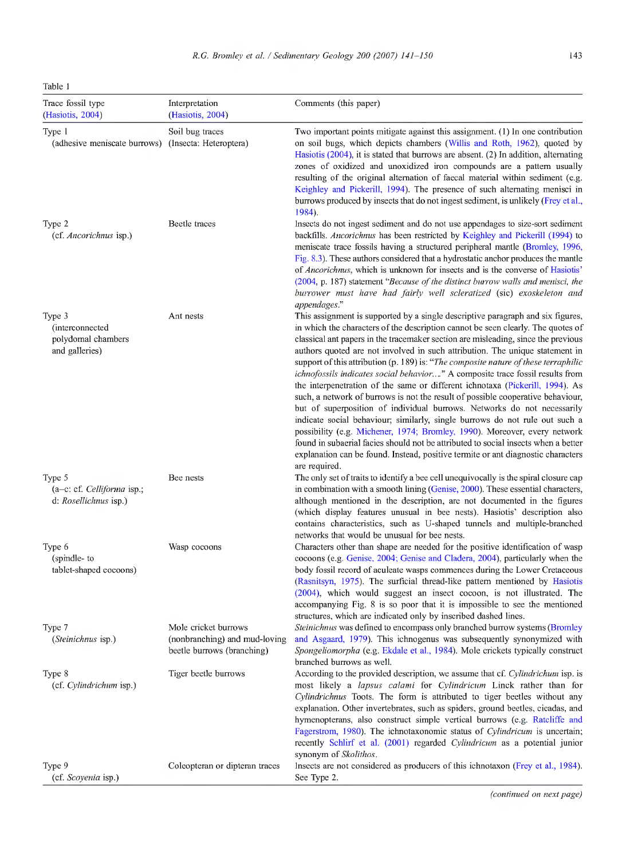Table <sup>1</sup>

| Trace fossil type<br>(Hasiotis, 2004)                                  | Interpretation<br>(Hasiotis, 2004)                                                  | Comments (this paper)                                                                                                                                                                                                                                                                                                                                                                                                                                                                                                                                                                                                                                                                                                                                                                                                                                                                                                                                                                                                                                                                                                  |
|------------------------------------------------------------------------|-------------------------------------------------------------------------------------|------------------------------------------------------------------------------------------------------------------------------------------------------------------------------------------------------------------------------------------------------------------------------------------------------------------------------------------------------------------------------------------------------------------------------------------------------------------------------------------------------------------------------------------------------------------------------------------------------------------------------------------------------------------------------------------------------------------------------------------------------------------------------------------------------------------------------------------------------------------------------------------------------------------------------------------------------------------------------------------------------------------------------------------------------------------------------------------------------------------------|
| Type 1<br>(adhesive meniscate burrows)                                 | Soil bug traces<br>(Insecta: Heteroptera)                                           | Two important points mitigate against this assignment. (1) In one contribution<br>on soil bugs, which depicts chambers (Willis and Roth, 1962), quoted by<br>Hasiotis (2004), it is stated that burrows are absent. (2) In addition, alternating<br>zones of oxidized and unoxidized iron compounds are a pattern usually<br>resulting of the original alternation of faecal material within sediment (e.g.<br>Keighley and Pickerill, 1994). The presence of such alternating menisci in<br>burrows produced by insects that do not ingest sediment, is unlikely (Frey et al.,<br>1984).                                                                                                                                                                                                                                                                                                                                                                                                                                                                                                                              |
| Type 2<br>(cf. Ancorichnus isp.)                                       | Beetle traces                                                                       | Insects do not ingest sediment and do not use appendages to size-sort sediment<br>backfills. Ancorichnus has been restricted by Keighley and Pickerill (1994) to<br>meniscate trace fossils having a structured peripheral mantle (Bromley, 1996,<br>Fig. 8.3). These authors considered that a hydrostatic anchor produces the mantle<br>of <i>Ancorichnus</i> , which is unknown for insects and is the converse of Hasiotis'<br>(2004, p. 187) statement "Because of the distinct burrow walls and menisci, the<br>burrower must have had fairly well scleratized (sic) exoskeleton and<br>appendages."                                                                                                                                                                                                                                                                                                                                                                                                                                                                                                             |
| Type 3<br>(interconnected<br>polydomal chambers<br>and galleries)      | Ant nests                                                                           | This assignment is supported by a single descriptive paragraph and six figures,<br>in which the characters of the description cannot be seen clearly. The quotes of<br>classical ant papers in the tracemaker section are misleading, since the previous<br>authors quoted are not involved in such attribution. The unique statement in<br>support of this attribution (p. 189) is: "The composite nature of these terraphilic<br>ichnofossils indicates social behavior" A composite trace fossil results from<br>the interpenetration of the same or different ichnotaxa (Pickerill, 1994). As<br>such, a network of burrows is not the result of possible cooperative behaviour,<br>but of superposition of individual burrows. Networks do not necessarily<br>indicate social behaviour; similarly, single burrows do not rule out such a<br>possibility (e.g. Michener, 1974; Bromley, 1990). Moreover, every network<br>found in subaerial facies should not be attributed to social insects when a better<br>explanation can be found. Instead, positive termite or ant diagnostic characters<br>are required. |
| Type 5<br>$(a-c: cf. Celliforma is p.$<br>d: <i>Rosellichnus</i> isp.) | Bee nests                                                                           | The only set of traits to identify a bee cell unequivocally is the spiral closure cap<br>in combination with a smooth lining (Genise, 2000). These essential characters,<br>although mentioned in the description, are not documented in the figures<br>(which display features unusual in bee nests). Hasiotis' description also<br>contains characteristics, such as U-shaped tunnels and multiple-branched<br>networks that would be unusual for bee nests.                                                                                                                                                                                                                                                                                                                                                                                                                                                                                                                                                                                                                                                         |
| Type 6<br>(spindle-to)<br>tablet-shaped cocoons)                       | Wasp cocoons                                                                        | Characters other than shape are needed for the positive identification of wasp<br>cocoons (e.g. Genise, 2004; Genise and Cladera, 2004), particularly when the<br>body fossil record of aculeate wasps commences during the Lower Cretaceous<br>(Rasnitsyn, 1975). The surficial thread-like pattern mentioned by Hasiotis<br>(2004), which would suggest an insect cocoon, is not illustrated. The<br>accompanying Fig. 8 is so poor that it is impossible to see the mentioned<br>structures, which are indicated only by inscribed dashed lines.                                                                                                                                                                                                                                                                                                                                                                                                                                                                                                                                                                    |
| Type 7<br>( <i>Steinichnus</i> isp.)                                   | Mole cricket burrows<br>(nonbranching) and mud-loving<br>beetle burrows (branching) | <i>Steinichnus</i> was defined to encompass only branched burrow systems (Bromley<br>and Asgaard, 1979). This ichnogenus was subsequently synonymized with<br><i>Spongeliomorpha</i> (e.g. Ekdale et al., 1984). Mole crickets typically construct<br>branched burrows as well.                                                                                                                                                                                                                                                                                                                                                                                                                                                                                                                                                                                                                                                                                                                                                                                                                                        |
| Type 8<br>(cf. Cylindrichum isp.)                                      | Tiger beetle burrows                                                                | According to the provided description, we assume that cf. Cylindrichum isp. is<br>most likely a <i>lapsus calami</i> for <i>Cylindricum</i> Linck rather than for<br>Cylindrichnus Toots. The form is attributed to tiger beetles without any<br>explanation. Other invertebrates, such as spiders, ground beetles, cicadas, and<br>hymenopterans, also construct simple vertical burrows (e.g. Ratcliffe and<br>Fagerstrom, 1980). The ichnotaxonomic status of <i>Cylindricum</i> is uncertain;<br>recently Schlirf et al. (2001) regarded <i>Cylindricum</i> as a potential junior<br>synonym of Skolithos.                                                                                                                                                                                                                                                                                                                                                                                                                                                                                                         |
| Type 9<br>(cf. Scoyenia isp.)                                          | Coleopteran or dipteran traces                                                      | lnsects are not considered as producers of this ichnotaxon (Frey et al., 1984).<br>See Type 2.                                                                                                                                                                                                                                                                                                                                                                                                                                                                                                                                                                                                                                                                                                                                                                                                                                                                                                                                                                                                                         |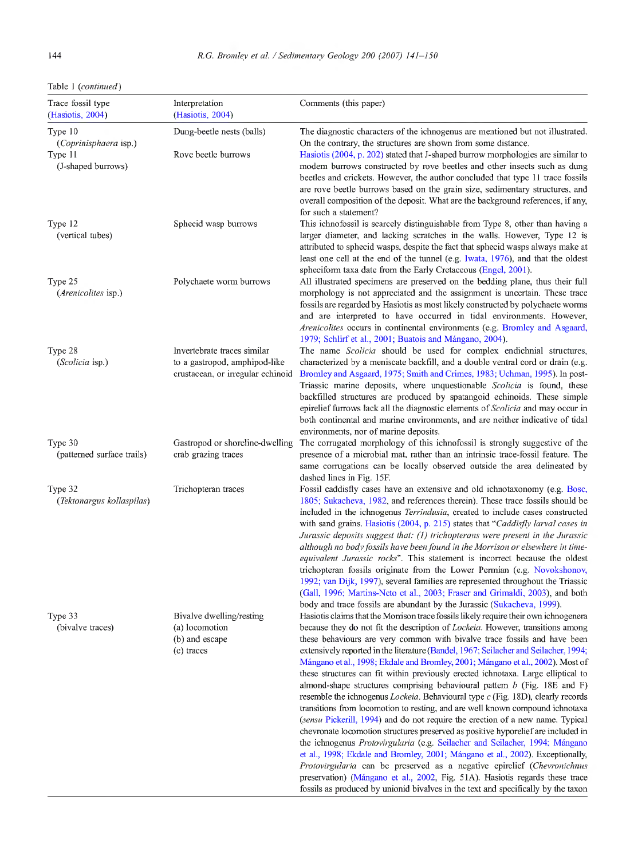|  | Table 1 (continued) |  |
|--|---------------------|--|
|--|---------------------|--|

| Trace fossil type<br>(Hasiotis, 2004)                             | Interpretation<br>(Hasiotis, 2004)                                                                | Comments (this paper)                                                                                                                                                                                                                                                                                                                                                                                                                                                                                                                                                                                                                                                                                                                                                                                                                                                                                                                                                                                                                                                                                                                                                                                                                                                                                                                                                                          |
|-------------------------------------------------------------------|---------------------------------------------------------------------------------------------------|------------------------------------------------------------------------------------------------------------------------------------------------------------------------------------------------------------------------------------------------------------------------------------------------------------------------------------------------------------------------------------------------------------------------------------------------------------------------------------------------------------------------------------------------------------------------------------------------------------------------------------------------------------------------------------------------------------------------------------------------------------------------------------------------------------------------------------------------------------------------------------------------------------------------------------------------------------------------------------------------------------------------------------------------------------------------------------------------------------------------------------------------------------------------------------------------------------------------------------------------------------------------------------------------------------------------------------------------------------------------------------------------|
| Type 10<br>(Coprinisphaera isp.)<br>Type 11<br>(J-shaped burrows) | Dung-beetle nests (balls)<br>Rove beetle burrows                                                  | The diagnostic characters of the ichnogenus are mentioned but not illustrated.<br>On the contrary, the structures are shown from some distance.<br>Hasiotis (2004, p. 202) stated that J-shaped burrow morphologies are similar to<br>modem burrows constructed by rove beetles and other insects such as dung<br>beetles and crickets. However, the author concluded that type 11 trace fossils                                                                                                                                                                                                                                                                                                                                                                                                                                                                                                                                                                                                                                                                                                                                                                                                                                                                                                                                                                                               |
| Type 12<br>(vertical tubes)                                       | Sphecid wasp burrows                                                                              | are rove beetle burrows based on the grain size, sedimentary structures, and<br>overall composition of the deposit. What are the background references, if any,<br>for such a statement?<br>This ichnofossil is scarcely distinguishable from Type 8, other than having a<br>larger diameter, and lacking scratches in the walls. However, Type 12 is<br>attributed to sphecid wasps, despite the fact that sphecid wasps always make at<br>least one cell at the end of the tunnel (e.g. Iwata, 1976), and that the oldest                                                                                                                                                                                                                                                                                                                                                                                                                                                                                                                                                                                                                                                                                                                                                                                                                                                                    |
| Type 25<br><i>(Arenicolites isp.)</i>                             | Polychaete worm burrows                                                                           | spheciform taxa date from the Early Cretaceous (Engel, 2001).<br>All illustrated specimens are preserved on the bedding plane, thus their full<br>morphology is not appreciated and the assignment is uncertain. These trace<br>fossils are regarded by Hasiotis as most likely constructed by polychaete worms<br>and are interpreted to have occurred in tidal environments. However,<br><i>Arenicolites</i> occurs in continental environments (e.g. Bromley and Asgaard,<br>1979; Schlirf et al., 2001; Buatois and Mángano, 2004).                                                                                                                                                                                                                                                                                                                                                                                                                                                                                                                                                                                                                                                                                                                                                                                                                                                        |
| Type 28<br>(Scolicia isp.)                                        | Invertebrate traces similar<br>to a gastropod, amphipod-like<br>crustacean, or irregular echinoid | The name Scolicia should be used for complex endichnial structures,<br>characterized by a meniscate backfill, and a double ventral cord or drain (e.g.<br>Bromley and Asgaard, 1975; Smith and Crimes, 1983; Uchman, 1995). In post-<br>Triassic marine deposits, where unquestionable <i>Scolicia</i> is found, these<br>backfilled structures are produced by spatangoid echinoids. These simple<br>epirelief furrows lack all the diagnostic elements of Scolicia and may occur in<br>both continental and marine environments, and are neither indicative of tidal<br>environments, nor of marine deposits.                                                                                                                                                                                                                                                                                                                                                                                                                                                                                                                                                                                                                                                                                                                                                                                |
| Type 30<br>(pattemed surface trails)                              | Gastropod or shoreline-dwelling<br>crab grazing traces                                            | The corrugated morphology of this ichnofossil is strongly suggestive of the<br>presence of a microbial mat, rather than an intrinsic trace-fossil feature. The<br>same corrugations can be locally observed outside the area delineated by<br>dashed lines in Fig. 15F.                                                                                                                                                                                                                                                                                                                                                                                                                                                                                                                                                                                                                                                                                                                                                                                                                                                                                                                                                                                                                                                                                                                        |
| Type 32<br>(Tektonargus kollaspilas)                              | Trichopteran traces                                                                               | Fossil caddisfly cases have an extensive and old ichnotaxonomy (e.g. Bosc,<br>1805; Sukacheva, 1982, and references therein). These trace fossils should be<br>included in the ichnogenus Terrindusia, created to include cases constructed<br>with sand grains. Hasiotis (2004, p. 215) states that "Caddisfly larval cases in<br>Jurassic deposits suggest that: (1) trichopterans were present in the Jurassic<br>although no body fossils have been found in the Morrison or elsewhere in time-<br>equivalent Jurassic rocks". This statement is incorrect because the oldest<br>trichopteran fossils originate from the Lower Permian (e.g. Novokshonov,<br>1992; van Dijk, 1997), several families are represented throughout the Triassic<br>(Gall, 1996; Martins-Neto et al., 2003; Fraser and Grimaldi, 2003), and both<br>body and trace fossils are abundant by the Jurassic (Sukacheva, 1999).                                                                                                                                                                                                                                                                                                                                                                                                                                                                                     |
| Type 33<br>(bivalve traces)                                       | Bivalve dwelling/resting<br>(a) locomotion<br>(b) and escape<br>(c) traces                        | Hasiotis claims that the Momson trace fossils likely require their own ichnogenera<br>because they do not fit the description of <i>Lockeia</i> . However, transitions among<br>these behaviours are very common with bivalve trace fossils and have been<br>extensively reported in the literature (Bandel, 1967; Seilacher and Seilacher, 1994;<br>Mángano et al., 1998; Ekdale and Bromley, 2001; Mángano et al., 2002). Most of<br>these structures can fit within previously erected ichnotaxa. Large elliptical to<br>almond-shape structures comprising behavioural pattern b (Fig. 18E and F)<br>resemble the ichnogenus <i>Locketa</i> . Behavioural type c (Fig. 18D), clearly records<br>transitions from locomotion to resting, and are well known compound ichnotaxa<br><i>(sensu Pickerill, 1994)</i> and do not require the erection of a new name. Typical<br>chevronate locomotion structures preserved as positive hyporelief are included in<br>the ichnogenus Protovirgularia (e.g. Seilacher and Seilacher, 1994; Mángano<br>et al., 1998; Ekdale and Bromley, 2001; Mángano et al., 2002). Exceptionally,<br><i>Protovirgularia</i> can be preserved as a negative epirelief ( <i>Chevronichnus</i><br>preservation) (Mángano et al., 2002, Fig. 51A). Hasiotis regards these trace<br>fossils as produced by unionid bivalves in the text and specifically by the taxon |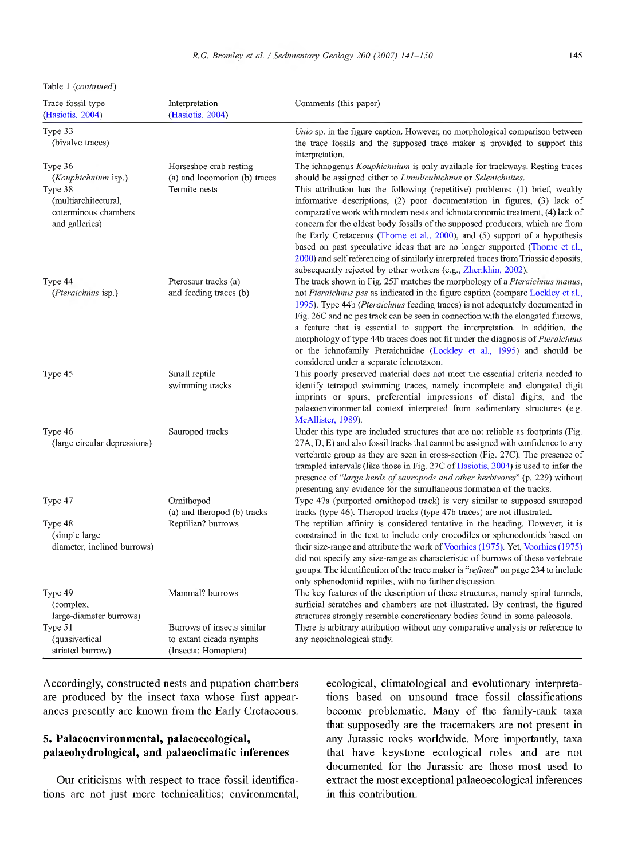Table <sup>1</sup> *{continued)*

| Trace fossil type<br>(Hasiotis, 2004)                                     | Interpretation<br>(Hasiotis, 2004)                                            | Comments (this paper)                                                                                                                                                                                                                                                                                                                                                                                                                                                                                                                                                                                                                              |
|---------------------------------------------------------------------------|-------------------------------------------------------------------------------|----------------------------------------------------------------------------------------------------------------------------------------------------------------------------------------------------------------------------------------------------------------------------------------------------------------------------------------------------------------------------------------------------------------------------------------------------------------------------------------------------------------------------------------------------------------------------------------------------------------------------------------------------|
| Type 33<br>(bivalve traces)                                               |                                                                               | Unio sp. in the figure caption. However, no morphological comparison between<br>the trace fossils and the supposed trace maker is provided to support this<br>interpretation.                                                                                                                                                                                                                                                                                                                                                                                                                                                                      |
| Type 36<br>(Kouphichnium isp.)                                            | Horseshoe crab resting<br>(a) and locomotion (b) traces                       | The ichnogenus <i>Kouphichnium</i> is only available for trackways. Resting traces<br>should be assigned either to Limulicubichnus or Selenichnites.                                                                                                                                                                                                                                                                                                                                                                                                                                                                                               |
| Type 38<br>(multiarchitectural,<br>coterminous chambers<br>and galleries) | Termite nests                                                                 | This attribution has the following (repetitive) problems: (1) brief, weakly<br>informative descriptions, (2) poor documentation in figures, (3) lack of<br>comparative work with modern nests and ichnotaxonomic treatment, (4) lack of<br>concern for the oldest body fossils of the supposed producers, which are from<br>the Early Cretaceous (Thorne et al., $2000$ ), and (5) support of a hypothesis<br>based on past speculative ideas that are no longer supported (Thome et al.,<br>2000) and self referencing of similarly interpreted traces from Triassic deposits,<br>subsequently rejected by other workers (e.g., Zherikhin, 2002). |
| Type 44<br>(Pteraichnus isp.)                                             | Pterosaur tracks (a)<br>and feeding traces (b)                                | The track shown in Fig. 25F matches the morphology of a <i>Pteraichnus manus</i> ,<br>not Pteraichnus pes as indicated in the figure caption (compare Lockley et al.,<br>1995). Type 44b ( <i>Pteraichnus</i> feeding traces) is not adequately documented in<br>Fig. 26C and no pes track can be seen in connection with the elongated furrows,<br>a feature that is essential to support the interpretation. In addition, the<br>morphology of type 44b traces does not fit under the diagnosis of <i>Pteraichnus</i><br>or the ichnofamily Pteraichnidae (Lockley et al., 1995) and should be<br>considered under a separate ichnotaxon.        |
| Type 45                                                                   | Small reptile<br>swimming tracks                                              | This poorly preserved material does not meet the essential criteria needed to<br>identify tetrapod swimming traces, namely incomplete and elongated digit<br>imprints or spurs, preferential impressions of distal digits, and the<br>palaeoenvironmental context interpreted from sedimentary structures (e.g.<br>McAllister, 1989).                                                                                                                                                                                                                                                                                                              |
| Type 46<br>(large circular depressions)                                   | Sauropod tracks                                                               | Under this type are included structures that are not reliable as footprints (Fig.<br>27A, D, E) and also fossil tracks that cannot be assigned with confidence to any<br>vertebrate group as they are seen in cross-section (Fig. 27C). The presence of<br>trampled intervals (like those in Fig. 27C of Hasiotis, 2004) is used to infer the<br>presence of "large herds of sauropods and other herbivores" (p. 229) without<br>presenting any evidence for the simultaneous formation of the tracks.                                                                                                                                             |
| Type 47                                                                   | Ornithopod<br>(a) and theropod (b) tracks                                     | Type 47a (purported ornithopod track) is very similar to supposed sauropod<br>tracks (type 46). Theropod tracks (type 47b traces) are not illustrated.                                                                                                                                                                                                                                                                                                                                                                                                                                                                                             |
| Type 48<br>(simple large)<br>diameter, inclined burrows)                  | Reptilian? burrows                                                            | The reptilian affinity is considered tentative in the heading. However, it is<br>constrained in the text to include only crocodiles or sphenodontids based on<br>their size-range and attribute the work of Voorhies (1975). Yet, Voorhies (1975)<br>did not specify any size-range as characteristic of burrows of these vertebrate<br>groups. The identification of the trace maker is " <i>refined</i> " on page 234 to include<br>only sphenodontid reptiles, with no further discussion.                                                                                                                                                      |
| Type 49<br>(complex,<br>large-diameter burrows)                           | Mammal? burrows                                                               | The key features of the description of these structures, namely spiral tunnels,<br>surficial scratches and chambers are not illustrated. By contrast, the figured<br>structures strongly resemble concretionary bodies found in some paleosols.                                                                                                                                                                                                                                                                                                                                                                                                    |
| Type 51<br>(quasivertical<br>striated burrow)                             | Burrows of insects similar<br>to extant cicada nymphs<br>(Insecta: Homoptera) | There is arbitrary attribution without any comparative analysis or reference to<br>any neoichnological study.                                                                                                                                                                                                                                                                                                                                                                                                                                                                                                                                      |

Accordingly, constracted nests and pupation chambers are produced by the insect taxa whose first appearances presently are known from the Early Cretaceous.

# **5. Palaeoenvironmental, palaeoecological, palaeohydrological, and palaeoclimatic inferences**

Our criticisms with respect to trace fossil identifications are not just mere technicalities; environmental, ecological, climatological and evolutionary interpretations based on unsound trace fossil classifications become problematic. Many of the family-rank taxa that supposedly are the tracemakers are not present in any Jurassic rocks worldwide. More importantly, taxa that have keystone ecological roles and are not documented for the Jurassic are those most used to extract the most exceptional palaeoecological inferences in this contribution.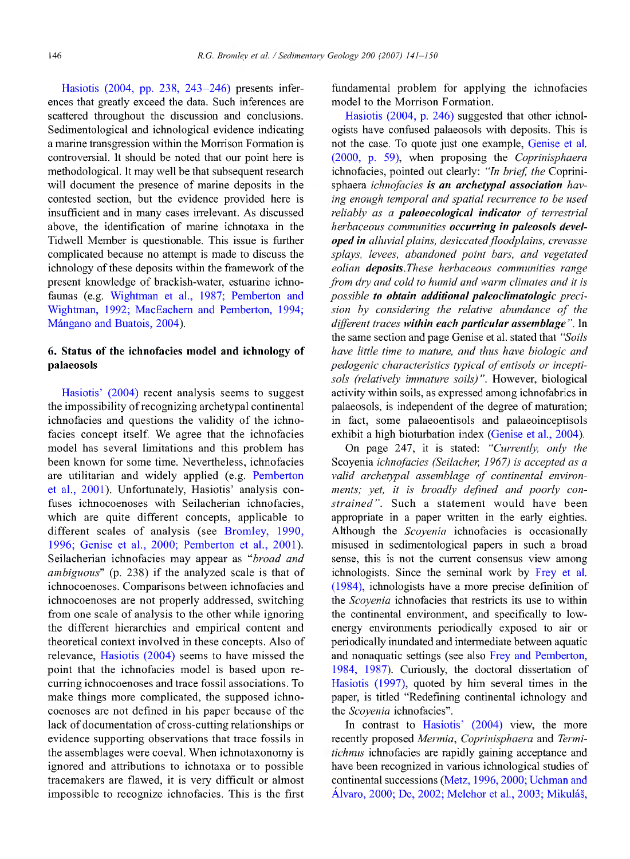Hasiotis (2004, pp. 238, 243-246) presents inferences that greatly exceed the data. Such inferences are scattered throughout the discussion and conclusions. Sedimentological and ichnological evidence indicating a marine transgression within the Morrison Formation is controversial. It should be noted that our point here is methodological. It may well be that subsequent research will document the presence of marine deposits in the contested section, but the evidence provided here is insufficient and in many cases irrelevant. As discussed above, the identification of marine ichnotaxa in the Tidwell Member is questionable. This issue is further complicated because no attempt is made to discuss the ichnology of these deposits within the framework of the present knowledge of brackish-water, estuarine ichnofaunas (e.g. Wightman et al., 1987; Pemberton and Wightman, 1992; MacEachem and Pemberton, 1994; Mángano and Buatois, 2004).

# **6. Status of the ichnofacies model and ichnology of palaeosols**

Hasiotis' (2004) recent analysis seems to suggest the impossibility ofrecognizing archetypal continental ichnofacies and questions the validity of the ichnofacies concept itself. We agree that the ichnofacies model has several limitations and this problem has been known for some time. Nevertheless, ichnofacies are utilitarian and widely applied (e.g. Pemberton et al., 2001). Unfortunately, Hasiotis' analysis confuses ichnocoenoses with Seilacherian ichnofacies, which are quite different concepts, applicable to different scales of analysis (see Bromley, 1990, 1996; Genise et al., 2000; Pemberton et al., 2001). Seilacherian ichnofacies may appear as *"broad and ambiguous"* (p. 238) if the analyzed scale is that of ichnocoenoses. Comparisons between ichnofacies and ichnocoenoses are not properly addressed, switching from one scale of analysis to the other while ignoring the different hierarchies and empirical content and theoretical context involved in these concepts. Also of relevance, Hasiotis (2004) seems to have missed the point that the ichnofacies model is based upon recurring ichnocoenoses and trace fossil associations. To make things more complicated, the supposed ichnocoenoses are not defined in his paper because of the lack of documentation of cross-cutting relationships or evidence supporting observations that trace fossils in the assemblages were coeval. When ichnotaxonomy is ignored and attributions to ichnotaxa or to possible tracemakers are flawed, it is very difficult or almost impossible to recognize ichnofacies. This is the first

fundamental problem for applying the ichnofacies model to the Morrison Formation.

Hasiotis (2004, p. 246) suggested that other ichnologists have confused palaeosols with deposits. This is not the case. To quote just one example. Genise et al. (2000, p. 59), when proposing the *Coprinisphaera* ichnofacies, pointed out clearly: *"In brief, the* Coprinisphaera *ichnofacies is an archetypal association having enough temporal and spatial recurrence to be used reliably as a paleoecological indicator of terrestrial herbaceous communities occurring in paleosols developed in alluvial plains, desiccated floodplains, crevasse splays, levees, abandoned point bars, and vegetated eolian deposits.These herbaceous communities range from dry and cold to humid and warm climates and it is possible to obtain additional paleoclimatologic precision by considering the relative abundance of the different traces within eachparticular assemblage ".* **In** the same section and page Genise et al. stated that *"Soils have little time to mature, and thus have biologic and pedogenic characteristics typical ofentisols or inceptisols (relatively immature soils)".* However, biological activity within soils, as expressed among ichnofabrics in palaeosols, is independent of the degree of maturation; in fact, some palaeoentisols and palaeoinceptisols exhibit a high bioturbation index (Genise et al., 2004).

On page 247, it is stated: *"Currently, only the* Scoyenia *ichnofacies (Seilacher, 1967) is accepted as a valid archetypal assemblage of continental environments; yet, it is broadly defined and poorly constrained".* Such a statement would have been appropriate in a paper written in the early eighties. Although the *Scoyenia* ichnofacies is occasionally misused in sedimentological papers in such a broad sense, this is not the current consensus view among ichnologists. Since the seminal work by Frey et al. (1984), ichnologists have a more precise definition of the *Scoyenia* ichnofacies that restricts its use to within the continental environment, and specifically to lowenergy environments periodically exposed to air or periodically inundated and intermediate between aquatic and nonaquatic settings (see also Frey and Pemberton, 1984, 1987). Curiously, the doctoral dissertation of Hasiotis (1997), quoted by him several times in the paper, is titled "Redefining continental ichnology and the *Scoyenia* ichnofacies".

In contrast to Hasiotis' (2004) view, the more recently proposed *Mermia, Coprinisphaera* and *Termitichnus* ichnofacies are rapidly gaining acceptance and have been recognized in various ichnological studies of continental successions (Metz, 1996, 2000; Uchman and Alvaro, 2000; De, 2002; Melchor et al, 2003; Mikulás,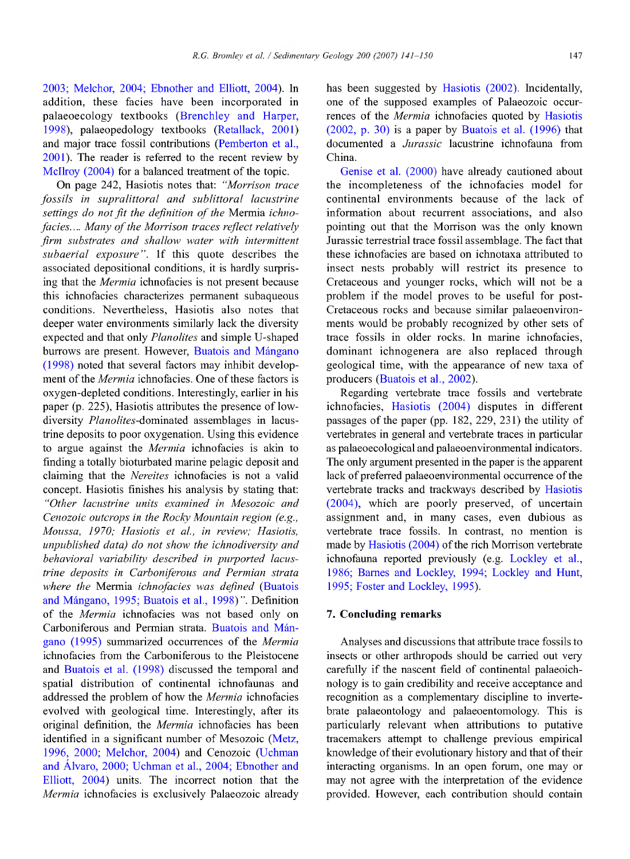2003; Melchor, 2004; Ebnother and Elliott, 2004). In addition, these facies have been incorporated in palaeoecology textbooks (Brenchley and Harper, 1998), palaeopedology textbooks (Retallack, 2001) and major trace fossil contributions (Pemberton et al., 2001). The reader is referred to the recent review by McIlroy (2004) for a balanced treatment of the topic.

On page 242, Hasiotis notes that: *"Morrison trace fossils in supralittoral and sublittoral lacustrine* settings do not fit the definition of the Mermia *ichnofacies.... Many of the Morrison traces reflect relatively firm substrates and shallow water with intermittent subaerial exposure".* If this quote describes the associated depositional conditions, it is hardly surprising that the *Mermia* ichnofacies is not present because this ichnofacies characterizes permanent subaqueous conditions. Nevertheless, Hasiotis also notes that deeper water environments **similarly** lack the diversity expected and that only *Planolites* and simple U-shaped burrows are present. However, Buatois and Mángano (1998) noted that several factors **may inhibit** development of the *Mermia* ichnofacies. One of these factors is oxygen-depleted conditions. Interestingly, earlier in his paper (p. 225), Hasiotis attributes the presence of lowdiversity Planolites-dominated assemblages in lacustrine deposits to poor oxygénation. Using this evidence to argue against the *Mermia* ichnofacies is akin to finding a totally bioturbated marine pelagic deposit and claiming that the *Nereites* ichnofacies is not a valid concept. Hasiotis finishes his analysis by stating that: *"Other lacustrine units examined in Mesozoic and Cenozoic outcrops in the Rocky Mountain region (e.g., Moussa, 1970; Hasiotis et al., in review; Hasiotis, unpublished data) do not show the ichnodiversity and behavioral variability described in purported lacustrine deposits in Carboniferous and Permian strata where the* Mermia *ichnofacies was defined* (Buatois and Mángano, 1995; Buatois et al., 1998)". Definition of the *Mermia* ichnofacies was not based only on Carboniferous and Permian strata. Buatois and Mángano (1995) summarized occurrences of the *Mermia* ichnofacies from the Carboniferous to the Pleistocene and Buatois et al. (1998) discussed the temporal and spatial distribution of continental ichnofaunas and addressed the problem of how the *Mermia* ichnofacies evolved with geological time. Interestingly, after its original definition, the *Mermia* ichnofacies has been identified in a significant number of Mesozoic (Metz, 1996, 2000; Melchor, 2004) and Cenozoic (Uchman and Alvaro, 2000; Uchman et al., 2004; Ebnother and Elliott, 2004) units. The incorrect notion that the *Mermia* ichnofacies is exclusively Palaeozoic already

has been suggested by Hasiotis (2002). Incidentally, one of the supposed examples of Palaeozoic occurrences of the *Mermia* ichnofacies quoted by Hasiotis (2002, p. 30) is a paper by Buatois et al. (1996) that documented a *Jurassic* lacustrine ichnofauna from China.

Genise et al. (2000) have already cautioned about the incompleteness of the ichnofacies model for continental environments because of the lack of information about recurrent associations, and also pointing out that the Morrison was the only known Jurassic terrestrial trace fossil assemblage. The fact that these ichnofacies are based on ichnotaxa attributed to insect nests probably will restrict its presence to Cretaceous and younger rocks, which will not be a problem if the model proves to be useful for post-Cretaceous rocks and because similar palaeoenvironments would be probably recognized by other sets of trace fossils in older rocks. In marine ichnofacies, dominant ichnogenera are also replaced through geological time, with the appearance of new taxa of producers (Buatois et al., 2002).

Regarding vertebrate trace fossils and vertebrate ichnofacies, Hasiotis (2004) disputes in different passages of the paper (pp. 182, 229, 231) the utility of vertebrates in general and vertebrate traces in particular as palaeoecological and palaeoenvironmental indicators. The only argument presented in the paper is the apparent lack of preferred palaeoenvironmental occurrence of the vertebrate tracks and trackways described by Hasiotis (2004), which are poorly preserved, of uncertain assignment and, in many cases, even dubious as vertebrate trace fossils. In contrast, no mention is made by Hasiotis (2004) of the rich Morrison vertebrate ichnofauna reported previously (e.g. Lockley et al., 1986; Barnes and Lockley, 1994; Lockley and Hunt, 1995; Foster and Lockley, 1995).

## **7. Concluding remarks**

Analyses and discussions that attribute trace fossils to insects or other arthropods should be carried out very carefully if the nascent field of continental palaeoichnology is to gain credibility and receive acceptance and recognition as a complementary discipline to invertebrate palaeontology and palaeoentomology. This is particularly relevant when attributions to putative tracemakers attempt to challenge previous empirical knowledge of their evolutionary history and that of their interacting organisms. In an open forum, one may or may not agree with the interpretation of the evidence provided. However, each contribution should contain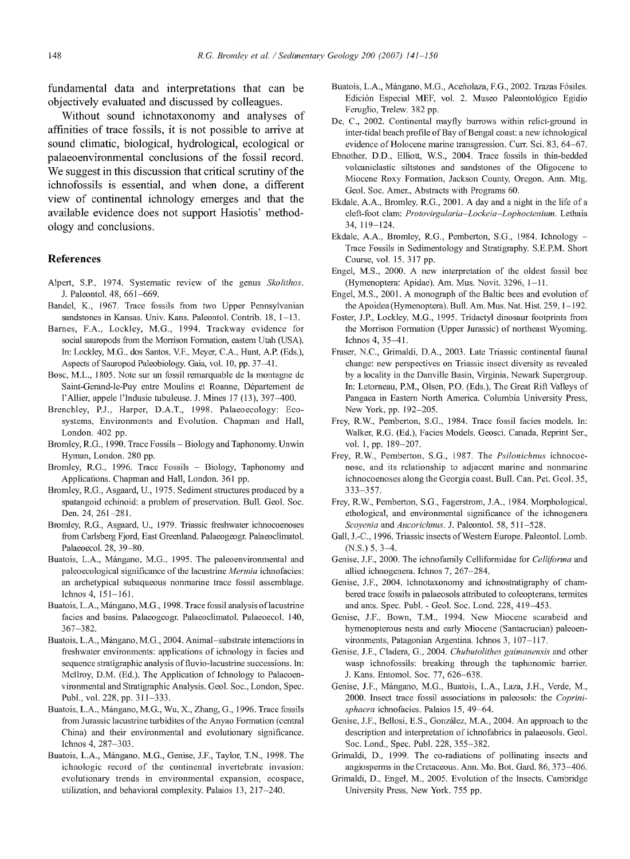fundamental data and interpretations that can be objectively evaluated and discussed by colleagues.

Without sound ichnotaxonomy and analyses of affinities of trace fossils, it is not possible to arrive at sound climatic, biological, hydrological, ecological or palaeoenvironmental conclusions of the fossil record. We suggest in this discussion that critical scrutiny of the ichnofossils is essential, and when done, a different view of continental ichnology emerges and that the available evidence does not support Hasiotis' methodology and conclusions.

#### **References**

- Alpert, S.P., 1974. Systematic review of the genus *Skolithos.* J. Paleontol. 48, 661-669.
- Bändel, K., 1967. Trace fossils from two Upper Pennsylvanian sandstones in Kansas. Univ. Kans. Paleontol. Contrib. 18, 1-13.
- Barnes, F.A., Lockley, M.G., 1994. Trackway evidence for social sauropods from the Morrison Formation, eastem Utah (USA). In; Lockley, M.G., dos Santos, V.F., Meyer, CA., Hunt, A.R (Eds.), Aspects of Sauropod Paleobiology. Gaia, vol. 10, pp. 37-41.
- Bosc, M.L., 1805. Note sur un fossil remarquable de la montagne de Saint-Gerand-le-Puy entre Moulins et Roanne, Département de l'Allier, appele l'Indusie tubuleuse. J. Mines 17 (13), 397-400.
- Brenchley, P.J., Harper, D.A.T., 1998. Palaeoecology: Ecosystems, Environments and Evolution. Chapman and Hall, London. 402 pp.
- Bromley, R.G., 1990. Trace Fossils Biology and Taphonomy. Unwin Hyman, London. 280 pp.
- Bromley, R.G., 1996. Trace Fossils Biology, Taphonomy and Applications. Chapman and Hall, London. 361 pp.
- Bromley, R.G., Asgaard, U., 1975. Sediment structures produced by a spatangoid echinoid: a problem of preservation. Bull. Geol. Soc. Den. 24, 261-281.
- Bromley, R.G., Asgaard, U., 1979. Triassic freshwater ichnocoenoses from Carlsberg Fjord, East Greenland. Palaeogeogr. Palaeoclimatol. Palaeoecol. 28, 39-80.
- Buatois, L.A., Mángano, M.G., 1995. The paleoenvironmental and paleoecological significance of the lacustrine *Mermia* ichnofacies; an archetypical subaqueous nonmarine trace fossil assemblage.  $1chnos 4, 151-161$ .
- Buatois, L.A., Mángano, M.G., 1998. Trace fossil analysis of lacustrine facies and basins. Palaeogeogr Palaeoclimatol. Palaeoecol. 140, 367-382.
- Buatois, L.A., Mángano, M.G., 2004. Animal-substrate interactions in freshwater environments: applications of ichnology in facies and sequence stratigraphic analysis of fluvio-lacustrine successions. In: Mcllroy, D.M. (Ed.), The Application of Ichnology to Palaeoenvironmental and Stratigraphie Analysis. Geol. Soc, London, Spec. **Publ,** vol. 228, pp. 311-333.
- Buatois, L.A., Mángano, M.G., Wu, X., Zhang, G., 1996. Trace fossils from Jurassic lacustrine turbidites of the Anyao Formation (central China) and their environmental and evolutionary significance. Ichnos 4, 287-303.
- Buatois, L.A., Mángano, M.G., Genise, J.F., Taylor, T.N., 1998. The ichnologic record of the continental invertebrate invasion: evolutionary trends in environmental expansion, ecospace, utilization, and behavioral complexity. Palaios 13, 217-240.
- Buatois, L.A., Mángano, M.G., Aceñolaza, E.G., 2002. Trazas Fósiles. Edición Especial MEE, vol. 2. Museo Paleontológico Egidio Feruglio, Trelew. 382 pp.
- De, C, 2002. Continental mayfly burrows within relict-ground in inter-tidal beach profile of Bay of Bengal coast: a new ichnological evidence of Holocene marine transgression. Curr. Sei. 83, 64-67.
- Ebnother, D.D., Elliott, W.S., 2004. Trace fossils in thin-bedded volcaniclastic siltstones and sandstones of the Oligocène to Miocene Roxy Formation, Jackson County, Oregon. Ann. Mtg. Geol. Soc. Amer., Abstracts with Programs 60.
- Ekdale, A.A., Bromley, R.G., 2001. A day and a night in the life of a cleft-foot clam: *Protovirgularia-Lockeia-Lophoctenium.* Lethaia 34, 119-124.
- Ekdale, A.A., Bromley, R.G., Pemberton, S.G., 1984. Ichnology -Trace Fossils in Sedimentology and Stratigraphy. S.E.P.M. Short Course, vol. 15. 317 pp.
- Engel, M.S., 2000. A new interpretation of the oldest fossil bee (Hymenoptera: Apidae). Am. Mus. Novit. 3296, 1-11.
- Engel, M.S., 2001. A monograph of the Baltic bees and evolution of the Apoidea (Hymenoptera). Bull. Am. Mus. Nat. Hist. 259, 1-192.
- Foster, J.P., Lockley, M.G., 1995. Tridactyl dinosaur footprints from the Morrison Formation (Upper Jurassic) of northeast Wyoming. Ichnos 4, 35-41.
- Fraser, N.C., Grimaldi, D.A., 2003. Late Triassic continental faunal change: new perspectives on Triassic insect diversity as revealed by a locality in the Danville Basin, Virginia, Newark Supergroup. In: Letomeau, PM., Olsen, P.O. (Eds.), The Great Rift Valleys of Pangaea in Eastem North America. Columbia University Press, New York, pp. 192-205.
- Frey, R.W., Pemberton, S.G., 1984. Trace fossil facies models. In: Walker, R.G. (Ed.), Facies Models. Geosci. Canada, Reprint Ser., vol. 1, pp. 189-207.
- Frey, R.W., Pemberton, S.G., 1987. The *Psilonichnus* ichnocoenose, and its relationship to adjacent marine and nonmarine ichnocoenoses along the Georgia coast. Bull. Can. Pet. Geol. 35, 333-357.
- Frey, R.W., Pemberton, S.G., Fagerstrom, J.A., 1984. Morphological, ethological, and environmental significance of the ichnogenera *Scoyenia and Ancorichnus.* J. Paleontol. 58, 511-528.
- Gall, J.-C., 1996. Triassic insects of Western Europe. Paleontol. Lomb. (N.S.) 5, 3-4.
- Genise, J.F., 2000. The ichnofamily Celliformidae for *Celliforma* and allied ichnogenera. Ichnos 7, 267-284.
- Genise, J.F., 2004. Ichnotaxonomy and ichnostratigraphy of chambered trace fossils in palaeosols attributed to coleopterans, termites and ants. Spec. Publ. - Geol. Soc. Lond. 228, 419-453.
- Genise, J.F., Bown, T.M., 1994. New Miocene scarabeid and hymenopterous nests and early Miocene (Santacrucian) paleoenvironments, Patagonian Argentina. Ichnos 3, 107-117.
- Genise, J.F., Cladera, G., 2004. *Chuhutolithes gaimanensis* and other wasp ichnofossils: breaking through the taphonomic barrier J. Kans. Entomol. Soc. 77, 626-638.
- Genise, J.F., Mángano, M.G., Buatois, L.A., Laza, J.H., Verde, M., 2000. Insect ttace fossil associations in paleosols: the *Coprinisphaera* ichnofacies. Palaios 15, 49-64.
- Genise, J.F., Bellosi, E.S., González, M.A., 2004. An approach to the description and interpretation of ichnofabrics in palaeosols. Geol. Soc. Lond., Spec. Publ. 228, 355-382.
- Grimaldi, D., 1999. The co-radiations of pollinating insects and angiosperms in the Cretaceous. Ann. Mo. Bot. Gard. 86, 373-406.
- Grimaldi, D., Engel, M., 2005. Evolution of the Insects. Cambridge University Press, New York. 755 pp.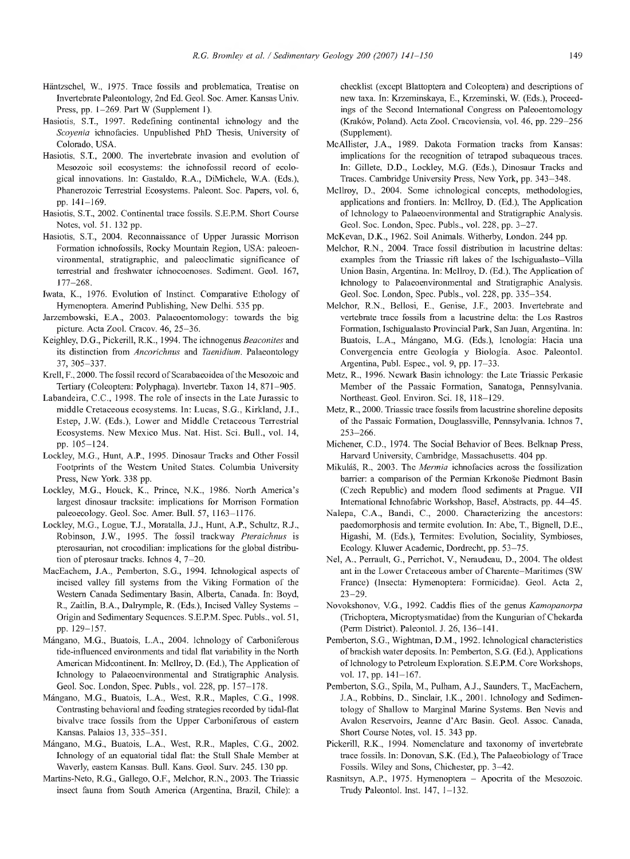- Häntzschel, W., 1975. Trace fossils and problemática, Treatise on Invertebrate Paleontology, 2nd Ed. Geol. Soc. Amen Kansas Univ. Press, pp. 1-269. Part W (Supplement 1).
- Hasiotis, S.T., 1997. Redefining continental ichnology and the *Scoyenia* ichnofacies. Unpublished PhD Thesis, University of Colorado, USA.
- Hasiotis, S.T., 2000. The invertebrate invasion and evolution of Mesozoic soil ecosystems: the ichnofossil record of ecological innovations. In: Gastaldo, R.A., DiMichele, W.A. (Eds.), Phanerozoic Terrestrial Ecosystems. Paleont. Soc. Papers, vol. 6, pp. 141-169.
- Hasiotis, S.T., 2002. Continental trace fossils. S.E.P.M. Short Course Notes, vol. 51. 132 pp.
- Hasiotis, S.T., 2004. Reconnaissance of Upper Jurassic Morrison Formation ichnofossils. Rocky Mountain Region, USA: paleoenvironmental, stratigraphie, and paleoclimatic significance of terrestrial and freshwater ichnocoenoses. Sediment. Geol. 167, 177-268.
- Iwata, K., 1976. Evolution of Instinct. Comparative Ethology of Hymenoptera. Amerind Publishing, New Delhi. 535 pp.
- Jarzembowski, E.A., 2003. Palaeoentomology: towards the big picture. Acta Zool. Cracov. 46, 25-36.
- Keighley, D.G., Pickerill, R.K., 1994. The ichnogenus Beaconites and its distinction from *Ancorichnus* and *Taenidium.* Palaeontology 37, 305-337.
- Krell, F., 2000. The fossil record of Scarabaeoidea of the Mesozoic and Tertiary (Coleóptera: Polyphaga). Invertebr. Taxon 14, 871-905.
- Labandeira, C.C., 1998. The role of insects in the Late Jurassic to middle Cretaceous ecosystems. In: Lucas, S.G., Kirkland, J.I., Estep, J.W. (Eds.), Lower and Middle Cretaceous Terrestrial Ecosystems. New Mexico Mus. Nat. Hist. Sei. Bull., vol. 14, pp. 105-124.
- Lockley, M.G., Hunt, A.P., 1995. Dinosaur Tracks and Other Fossil Footprints of the Western United States. Columbia University Press, New York. 338 pp.
- Lockley, M.G., Houck, K., Prince, N.K., 1986. North America's largest dinosaur tracksite: implications for Morrison Formation paleoecology. Geol. Soc. Amer. Bull. 57, 1163-1176.
- Lockley, M.G., Logue, T.J., Moratalla, J.J., Hunt, A.P, Schultz, R.J., Robinson, J.W., 1995. The fossil trackway *Pteraichnus* is pterosaurian, not crocodilian: implications for the global distribution of pterosaur tracks. Ichnos 4, 7-20.
- MacEachem, J.A., Pemberton, S.G., 1994. Ichnological aspects of incised valley fill systems from the Viking Formation of the Western Canada Sedimentary Basin, Alberta, Canada. In: Boyd, R., Zaitlin, B.A., Dalrymple, R. (Eds.), Incised Valley Systems - Origin and Sedimentary Sequences. S.E.P.M. Spec. Pubis., vol. 51, pp. 129-157.
- Mángano, M.G., Buatois, L.A., 2004. Ichnology of Carboniferous tide-influenced environments and tidal flat variability in the North American Midcontinent. In: Mcllroy, D. (Ed.), The Application of Ichnology to Palaeoenvironmental and Stratigraphie Analysis. Geol. Soc. London, Spec. Pubis., vol. 228, pp. 157-178.
- Mángano, M.G., Buatois, L.A., West, R.R., Maples, C.G., 1998. Contrasting behavioral and feeding sfrategies recorded by tidal-flat bivalve ttace fossils from the Upper Carboniferous of eastern Kansas. Palaios 13, 335-351.
- Mángano, M.G., Buatois, L.A., West, R.R., Maples, C.G., 2002. Ichnology of an equatorial tidal flat: the Stull Shale Member at Waverly, eastern Kansas. Bull. Kans. Geol. Surv. 245. 130 pp.
- Martins-Neto, R.G., Gallego, O.F., Melchor, R.N., 2003. The Triassic insect fauna from South America (Argentina, Brazil, Chile): a

checklist (except Blattoptera and Coleóptera) and descriptions of new taxa. In: Krzeminskaya, E., Krzeminski, W. (Eds.), Proceedings of the Second International Congress on Paleoentomology (Kraków, Poland). Acta Zool. Cracoviensia, vol. 46, pp. 229-256 (Supplement).

- McAllister, J.A., 1989. Dakota Formation tracks from Kansas: implications for the recognition of tetrapod subaqueous traces. In: Gillete, D.D., Lockley, M.G. (Eds.), Dinosaur Tracks and Traces. Cambridge University Press, New York, pp. 343-348.
- Mcllroy, D., 2004. Some ichnological concepts, methodologies, applications and frontiers. In: Mcllroy, D. (Ed.), The Application of Ichnology to Palaeoenvironmental and Sfratigraphic Analysis. Geol. Soc. London, Spec. Pubis., vol. 228, pp. 3-27.
- McKevan, D.K., 1962. Soil Animals. Witherby, London. 244 pp.
- Melchor, R.N., 2004. Trace fossil distribution in lacustrine deltas: examples from the Triassic rift lakes of the Ischigualasto-Villa Union Basin, Argentina. In: Mcllroy, D. (Ed.), The Application of Ichnology to Palaeoenvironmental and Stratigraphie Analysis. Geol. Soc. London, Spec. Pubis., vol. 228, pp. 335-354.
- Melchor, R.N., Bellosi, E., Genise, J.F., 2003. Invertebrate and vertebrate trace fossils from a lacusfrine delta: the Los Rastros Formation, Ischigualasto Provincial Park, San Juan, Argentina. In: Buatois, L.A., Mángano, M.G. (Eds.), Icnologia: Hacia una Convergencia entre Geología y Biología. Asoc. Paleontol. Argentina, Publ. Espec, vol. 9, pp. 17-33.
- Metz, R., 1996. Newark Basin ichnology: the Late Triassic Perkasie Member of the Passaic Formation, Sanatoga, Pennsylvania. Northeast. Geol. Environ. Sei. 18, 118-129.
- Metz, R., 2000. Triassic trace fossils from lacustrine shoreline deposits of the Passaic Formation, Douglassville, Pennsylvania. Ichnos 7, 253-266.
- Michener, CD., 1974. The Social Behavior of Bees. Belknap Press, Harvard University, Cambridge, Massachusetts. 404 pp.
- Mikulás, R., 2003. The *Mermia* ichnofacies across the fossilization barrier: a comparison of the Permian Krkonose Piedmont Basin (Czech Repubhc) and modem flood sediments at Prague. VII Intemational Ichnofabric Workshop, Basel, Abstracts, pp. 44-45.
- Nalepa, CA., Bandi, C, 2000. Characterizing the ancestors: paedomorphosis and termite evolution. In: Abe, T., Bigneil, D.E., Higashi, M. (Eds.), Termites: Evolution, Sociality, Symbioses, Ecology. Kluwer Academic, Dordrecht, pp. 53-75.
- Nel, A., Perrault, G., Perrichot, V, Neraudeau, D., 2004. The oldest ant in the Lower Cretaceous amber of Charente-Maritimes (SW France) (Insecta: Hymenoptera: Formicidae). Geol. Acta 2,  $23 - 29$ .
- Novokshonov, V.G., 1992. Caddis flies of the genus *Kamopanorpa* (Trichoptera, Microptysmatidae) from the Kungurian of Chekarda (Perm District). Paleontol. J. 26, 136-141.
- Pemberton, S.G., Wightman, D.M., 1992. Ichnological characteristics of brackish water deposits. In: Pemberton, S.G. (Ed.), Applications of Ichnology to Petroleum Exploration. S.E.P.M. Core Workshops, vol. 17, pp. 141-167.
- Pemberton, S.G., Spila, M., Pulham, A.J., Saunders, T., MacEachem, J.A., Robbins, D., Sinclair, I.K., 2001. Ichnology and Sedimentology of Shallow to Marginal Marine Systems. Ben Nevis and Avalon Reservoirs, Jeanne d'Arc Basin. Geol. Assoc. Canada, Short Course Notes, vol. 15. 343 pp.
- Pickerill, R.K., 1994. Nomenclature and taxonomy of invertebrate trace fossils. In: Donovan, S.K. (Ed.), The Palaeobiology of Trace Fossils. Wiley and Sons, Chichester, pp. 3-42.
- Rasnitsyn, A.P., 1975. Hymenoptera Apocrita of the Mesozoic. Trudy Paleontol. Inst. 147, 1-132.